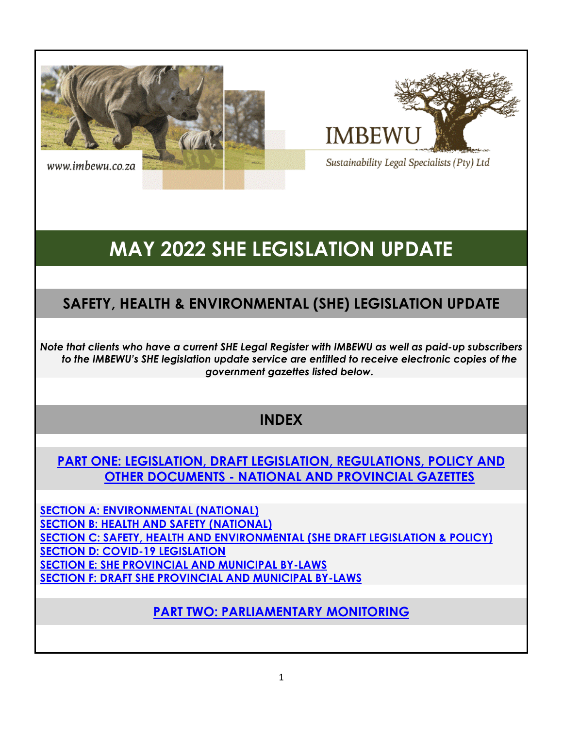



Sustainability Legal Specialists (Pty) Ltd

# **MAY 2022 SHE LEGISLATION UPDATE**

## **SAFETY, HEALTH & ENVIRONMENTAL (SHE) LEGISLATION UPDATE**

*Note that clients who have a current SHE Legal Register with IMBEWU as well as paid-up subscribers to the IMBEWU's SHE legislation update service are entitled to receive electronic copies of the government gazettes listed below.* 

## **INDEX**

## **PART ONE: LEGISLATION, DRAFT LEGISLATION, REGULATIONS, POLICY AND OTHER DOCUMENTS - NATIONAL AND PROVINCIAL GAZETTES**

**[SECTION A: ENVIRONMENTAL \(NATIONAL\)](#page-1-0) [SECTION B: HEALTH AND SAFETY \(NATIONAL\)](#page-1-1) [SECTION C: SAFETY, HEALTH AND ENVIRONMENTAL \(SHE DRAFT LEGISLATION & POLICY\)](#page-1-2) [SECTION D: COVID-19 LEGISLATION](#page-3-0) [SECTION E: SHE PROVINCIAL AND MUNICIPAL BY-LAWS](#page-3-1) [SECTION F: DRAFT SHE PROVINCIAL AND MUNICIPAL BY-LAWS](#page-3-2)**

**[PART TWO: PARLIAMENTARY MONITORING](#page-3-3)**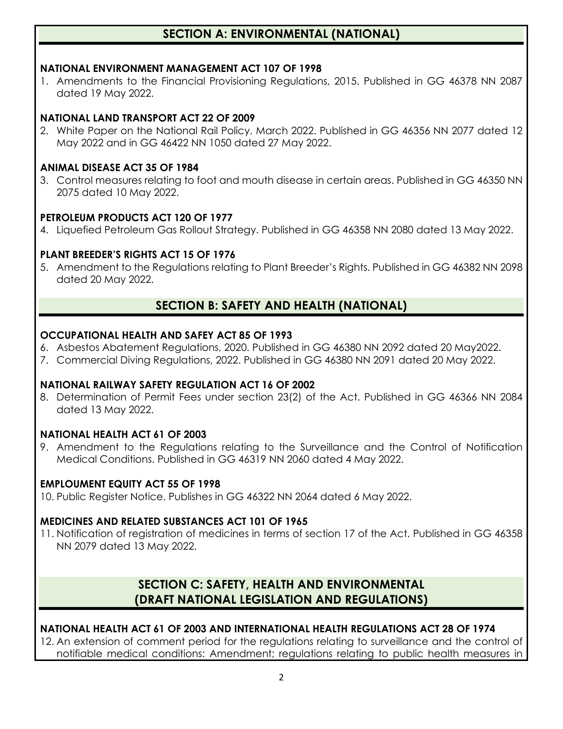## **SECTION A: ENVIRONMENTAL (NATIONAL)**

#### <span id="page-1-1"></span><span id="page-1-0"></span>**NATIONAL ENVIRONMENT MANAGEMENT ACT 107 OF 1998**

1. Amendments to the Financial Provisioning Regulations, 2015. Published in GG 46378 NN 2087 dated 19 May 2022.

#### **NATIONAL LAND TRANSPORT ACT 22 OF 2009**

2. White Paper on the National Rail Policy, March 2022. Published in GG 46356 NN 2077 dated 12 May 2022 and in GG 46422 NN 1050 dated 27 May 2022.

#### **ANIMAL DISEASE ACT 35 OF 1984**

3. Control measures relating to foot and mouth disease in certain areas. Published in GG 46350 NN 2075 dated 10 May 2022.

#### **PETROLEUM PRODUCTS ACT 120 OF 1977**

4. Liquefied Petroleum Gas Rollout Strategy. Published in GG 46358 NN 2080 dated 13 May 2022.

#### **PLANT BREEDER'S RIGHTS ACT 15 OF 1976**

5. Amendment to the Regulations relating to Plant Breeder's Rights. Published in GG 46382 NN 2098 dated 20 May 2022.

## **SECTION B: SAFETY AND HEALTH (NATIONAL)**

#### **OCCUPATIONAL HEALTH AND SAFEY ACT 85 OF 1993**

- 6. Asbestos Abatement Regulations, 2020. Published in GG 46380 NN 2092 dated 20 May2022.
- 7. Commercial Diving Regulations, 2022. Published in GG 46380 NN 2091 dated 20 May 2022.

#### **NATIONAL RAILWAY SAFETY REGULATION ACT 16 OF 2002**

8. Determination of Permit Fees under section 23(2) of the Act. Published in GG 46366 NN 2084 dated 13 May 2022.

#### **NATIONAL HEALTH ACT 61 OF 2003**

9. Amendment to the Regulations relating to the Surveillance and the Control of Notification Medical Conditions. Published in GG 46319 NN 2060 dated 4 May 2022.

#### **EMPLOUMENT EQUITY ACT 55 OF 1998**

10. Public Register Notice. Publishes in GG 46322 NN 2064 dated 6 May 2022.

#### **MEDICINES AND RELATED SUBSTANCES ACT 101 OF 1965**

11. Notification of registration of medicines in terms of section 17 of the Act. Published in GG 46358 NN 2079 dated 13 May 2022.

## **SECTION C: SAFETY, HEALTH AND ENVIRONMENTAL (DRAFT NATIONAL LEGISLATION AND REGULATIONS)**

#### <span id="page-1-2"></span>**NATIONAL HEALTH ACT 61 OF 2003 AND INTERNATIONAL HEALTH REGULATIONS ACT 28 OF 1974**

12. An extension of comment period for the regulations relating to surveillance and the control of notifiable medical conditions: Amendment; regulations relating to public health measures in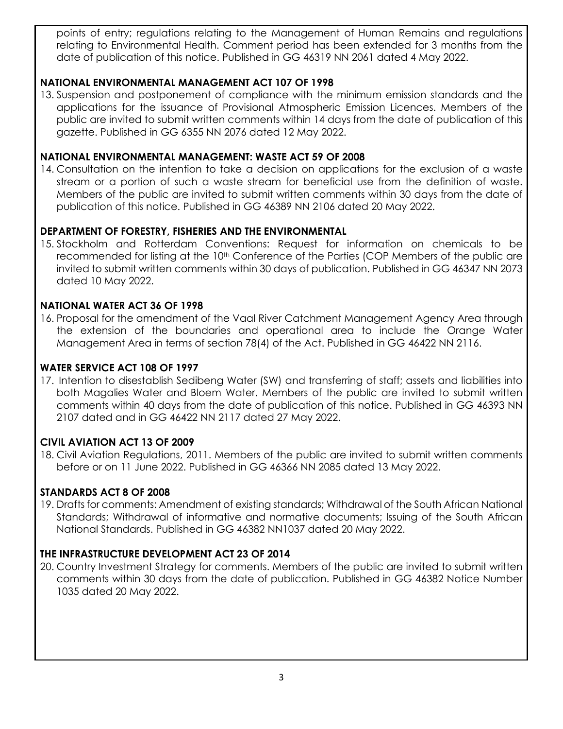points of entry; regulations relating to the Management of Human Remains and regulations relating to Environmental Health. Comment period has been extended for 3 months from the date of publication of this notice. Published in GG 46319 NN 2061 dated 4 May 2022.

#### **NATIONAL ENVIRONMENTAL MANAGEMENT ACT 107 OF 1998**

13. Suspension and postponement of compliance with the minimum emission standards and the applications for the issuance of Provisional Atmospheric Emission Licences. Members of the public are invited to submit written comments within 14 days from the date of publication of this gazette. Published in GG 6355 NN 2076 dated 12 May 2022.

#### **NATIONAL ENVIRONMENTAL MANAGEMENT: WASTE ACT 59 OF 2008**

14. Consultation on the intention to take a decision on applications for the exclusion of a waste stream or a portion of such a waste stream for beneficial use from the definition of waste. Members of the public are invited to submit written comments within 30 days from the date of publication of this notice. Published in GG 46389 NN 2106 dated 20 May 2022.

#### **DEPARTMENT OF FORESTRY, FISHERIES AND THE ENVIRONMENTAL**

15. Stockholm and Rotterdam Conventions: Request for information on chemicals to be recommended for listing at the 10<sup>th</sup> Conference of the Parties (COP Members of the public are invited to submit written comments within 30 days of publication. Published in GG 46347 NN 2073 dated 10 May 2022.

#### **NATIONAL WATER ACT 36 OF 1998**

16. Proposal for the amendment of the Vaal River Catchment Management Agency Area through the extension of the boundaries and operational area to include the Orange Water Management Area in terms of section 78(4) of the Act. Published in GG 46422 NN 2116.

#### **WATER SERVICE ACT 108 OF 1997**

17. Intention to disestablish Sedibeng Water (SW) and transferring of staff; assets and liabilities into both Magalies Water and Bloem Water. Members of the public are invited to submit written comments within 40 days from the date of publication of this notice. Published in GG 46393 NN 2107 dated and in GG 46422 NN 2117 dated 27 May 2022.

#### **CIVIL AVIATION ACT 13 OF 2009**

18. Civil Aviation Regulations, 2011. Members of the public are invited to submit written comments before or on 11 June 2022. Published in GG 46366 NN 2085 dated 13 May 2022.

#### **STANDARDS ACT 8 OF 2008**

19. Drafts for comments: Amendment of existing standards; Withdrawal of the South African National Standards; Withdrawal of informative and normative documents; Issuing of the South African National Standards. Published in GG 46382 NN1037 dated 20 May 2022.

#### **THE INFRASTRUCTURE DEVELOPMENT ACT 23 OF 2014**

20. Country Investment Strategy for comments. Members of the public are invited to submit written comments within 30 days from the date of publication. Published in GG 46382 Notice Number 1035 dated 20 May 2022.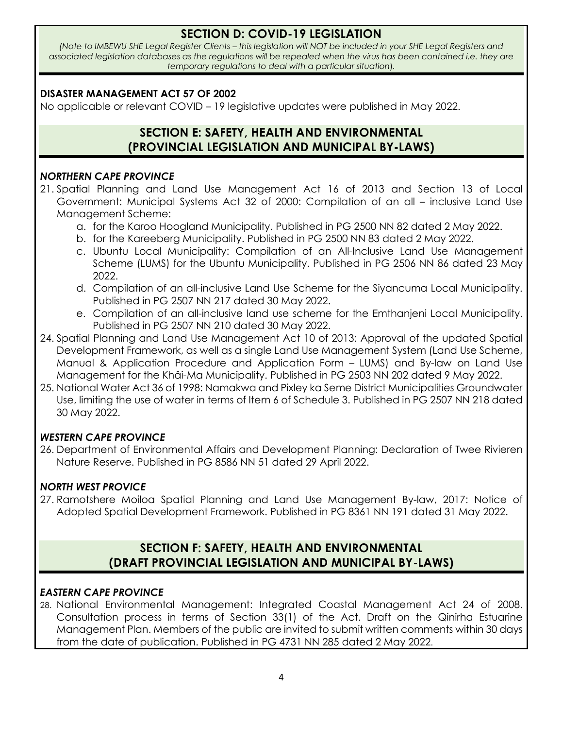## **SECTION D: COVID-19 LEGISLATION**

<span id="page-3-0"></span>*(Note to IMBEWU SHE Legal Register Clients – this legislation will NOT be included in your SHE Legal Registers and associated legislation databases as the regulations will be repealed when the virus has been contained i.e. they are temporary regulations to deal with a particular situation*)*.*

#### **DISASTER MANAGEMENT ACT 57 OF 2002**

<span id="page-3-1"></span>No applicable or relevant COVID – 19 legislative updates were published in May 2022.

## **SECTION E: SAFETY, HEALTH AND ENVIRONMENTAL (PROVINCIAL LEGISLATION AND MUNICIPAL BY-LAWS)**

#### <span id="page-3-2"></span>*NORTHERN CAPE PROVINCE*

- 21. Spatial Planning and Land Use Management Act 16 of 2013 and Section 13 of Local Government: Municipal Systems Act 32 of 2000: Compilation of an all – inclusive Land Use Management Scheme:
	- a. for the Karoo Hoogland Municipality. Published in PG 2500 NN 82 dated 2 May 2022.
	- b. for the Kareeberg Municipality. Published in PG 2500 NN 83 dated 2 May 2022.
	- c. Ubuntu Local Municipality: Compilation of an All-Inclusive Land Use Management Scheme (LUMS) for the Ubuntu Municipality. Published in PG 2506 NN 86 dated 23 May 2022.
	- d. Compilation of an all-inclusive Land Use Scheme for the Siyancuma Local Municipality. Published in PG 2507 NN 217 dated 30 May 2022.
	- e. Compilation of an all-inclusive land use scheme for the Emthanjeni Local Municipality. Published in PG 2507 NN 210 dated 30 May 2022.
- 24. Spatial Planning and Land Use Management Act 10 of 2013: Approval of the updated Spatial Development Framework, as well as a single Land Use Management System (Land Use Scheme, Manual & Application Procedure and Application Form – LUMS) and By-law on Land Use Management for the Khâi-Ma Municipality. Published in PG 2503 NN 202 dated 9 May 2022.
- 25. National Water Act 36 of 1998: Namakwa and Pixley ka Seme District Municipalities Groundwater Use, limiting the use of water in terms of Item 6 of Schedule 3. Published in PG 2507 NN 218 dated 30 May 2022.

#### *WESTERN CAPE PROVINCE*

26. Department of Environmental Affairs and Development Planning: Declaration of Twee Rivieren Nature Reserve. Published in PG 8586 NN 51 dated 29 April 2022.

#### *NORTH WEST PROVICE*

27. Ramotshere Moiloa Spatial Planning and Land Use Management By-law, 2017: Notice of Adopted Spatial Development Framework. Published in PG 8361 NN 191 dated 31 May 2022.

## **SECTION F: SAFETY, HEALTH AND ENVIRONMENTAL (DRAFT PROVINCIAL LEGISLATION AND MUNICIPAL BY-LAWS)**

#### <span id="page-3-3"></span>*EASTERN CAPE PROVINCE*

28. National Environmental Management: Integrated Coastal Management Act 24 of 2008. Consultation process in terms of Section 33(1) of the Act. Draft on the Qinirha Estuarine Management Plan. Members of the public are invited to submit written comments within 30 days from the date of publication. Published in PG 4731 NN 285 dated 2 May 2022.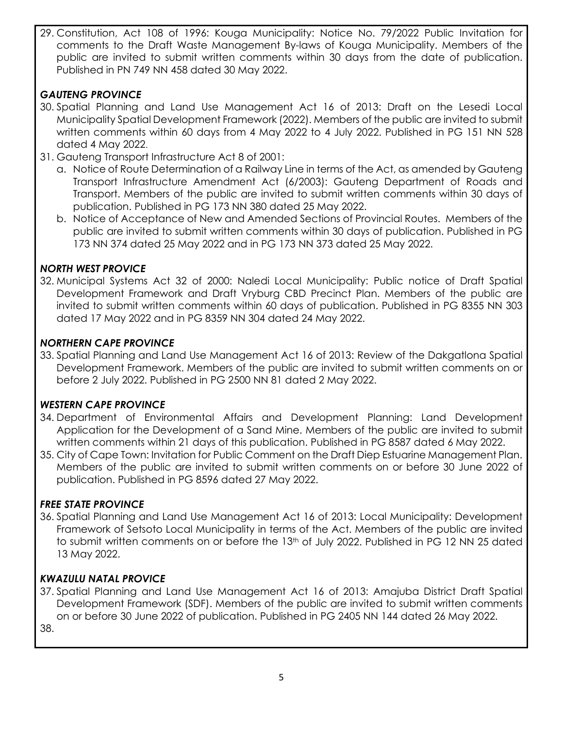29. Constitution, Act 108 of 1996: Kouga Municipality: Notice No. 79/2022 Public Invitation for comments to the Draft Waste Management By-laws of Kouga Municipality. Members of the public are invited to submit written comments within 30 days from the date of publication. Published in PN 749 NN 458 dated 30 May 2022.

## *GAUTENG PROVINCE*

- 30. Spatial Planning and Land Use Management Act 16 of 2013: Draft on the Lesedi Local Municipality Spatial Development Framework (2022). Members of the public are invited to submit written comments within 60 days from 4 May 2022 to 4 July 2022. Published in PG 151 NN 528 dated 4 May 2022.
- 31. Gauteng Transport Infrastructure Act 8 of 2001:
	- a. Notice of Route Determination of a Railway Line in terms of the Act, as amended by Gauteng Transport Infrastructure Amendment Act (6/2003): Gauteng Department of Roads and Transport. Members of the public are invited to submit written comments within 30 days of publication. Published in PG 173 NN 380 dated 25 May 2022.
	- b. Notice of Acceptance of New and Amended Sections of Provincial Routes. Members of the public are invited to submit written comments within 30 days of publication. Published in PG 173 NN 374 dated 25 May 2022 and in PG 173 NN 373 dated 25 May 2022.

#### *NORTH WEST PROVICE*

32. Municipal Systems Act 32 of 2000: Naledi Local Municipality: Public notice of Draft Spatial Development Framework and Draft Vryburg CBD Precinct Plan. Members of the public are invited to submit written comments within 60 days of publication. Published in PG 8355 NN 303 dated 17 May 2022 and in PG 8359 NN 304 dated 24 May 2022.

#### *NORTHERN CAPE PROVINCE*

33. Spatial Planning and Land Use Management Act 16 of 2013: Review of the Dakgatlona Spatial Development Framework. Members of the public are invited to submit written comments on or before 2 July 2022. Published in PG 2500 NN 81 dated 2 May 2022.

#### *WESTERN CAPE PROVINCE*

- 34. Department of Environmental Affairs and Development Planning: Land Development Application for the Development of a Sand Mine. Members of the public are invited to submit written comments within 21 days of this publication. Published in PG 8587 dated 6 May 2022.
- 35. City of Cape Town: Invitation for Public Comment on the Draft Diep Estuarine Management Plan. Members of the public are invited to submit written comments on or before 30 June 2022 of publication. Published in PG 8596 dated 27 May 2022.

#### *FREE STATE PROVINCE*

36. Spatial Planning and Land Use Management Act 16 of 2013: Local Municipality: Development Framework of Setsoto Local Municipality in terms of the Act. Members of the public are invited to submit written comments on or before the 13<sup>th</sup> of July 2022. Published in PG 12 NN 25 dated 13 May 2022.

#### *KWAZULU NATAL PROVICE*

37. Spatial Planning and Land Use Management Act 16 of 2013: Amajuba District Draft Spatial Development Framework (SDF). Members of the public are invited to submit written comments on or before 30 June 2022 of publication. Published in PG 2405 NN 144 dated 26 May 2022. 38.